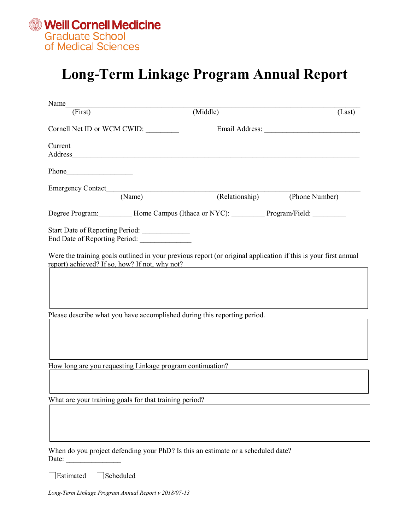

## **Long-Term Linkage Program Annual Report**

| Name_                       |                                                                                                                            |                |                                                                                                                |
|-----------------------------|----------------------------------------------------------------------------------------------------------------------------|----------------|----------------------------------------------------------------------------------------------------------------|
| (First)                     |                                                                                                                            | (Middle)       | (Last)                                                                                                         |
| Cornell Net ID or WCM CWID: |                                                                                                                            |                |                                                                                                                |
| Current                     |                                                                                                                            |                |                                                                                                                |
|                             |                                                                                                                            |                |                                                                                                                |
|                             | Emergency Contact (Name)                                                                                                   |                |                                                                                                                |
|                             |                                                                                                                            | (Relationship) | (Phone Number)                                                                                                 |
|                             | Degree Program: _________ Home Campus (Ithaca or NYC): _________ Program/Field: ________                                   |                |                                                                                                                |
|                             | Start Date of Reporting Period:                                                                                            |                |                                                                                                                |
|                             | report) achieved? If so, how? If not, why not?<br>Please describe what you have accomplished during this reporting period. |                | Were the training goals outlined in your previous report (or original application if this is your first annual |
|                             | How long are you requesting Linkage program continuation?                                                                  |                |                                                                                                                |
|                             |                                                                                                                            |                |                                                                                                                |
|                             |                                                                                                                            |                |                                                                                                                |
|                             | What are your training goals for that training period?                                                                     |                |                                                                                                                |
|                             |                                                                                                                            |                |                                                                                                                |
| Date:                       | When do you project defending your PhD? Is this an estimate or a scheduled date?                                           |                |                                                                                                                |
| Estimated                   | Scheduled                                                                                                                  |                |                                                                                                                |

*Long-Term Linkage Program Annual Report v 2018/07-13*